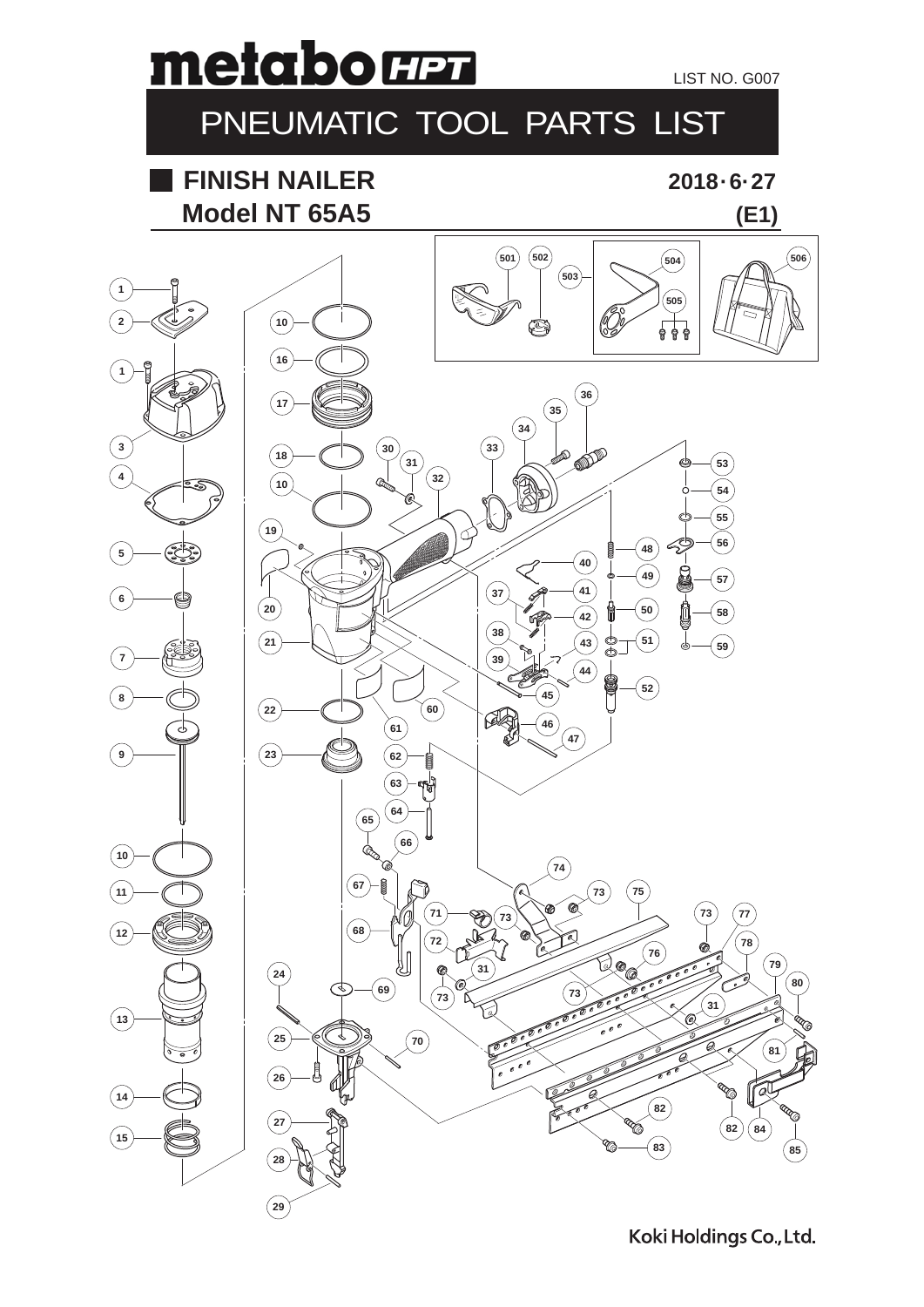

## PNEUMATIC TOOL PARTS LIST

## **Model NT 65A5 FINISH NAILER**

**2018 · 6· 27**

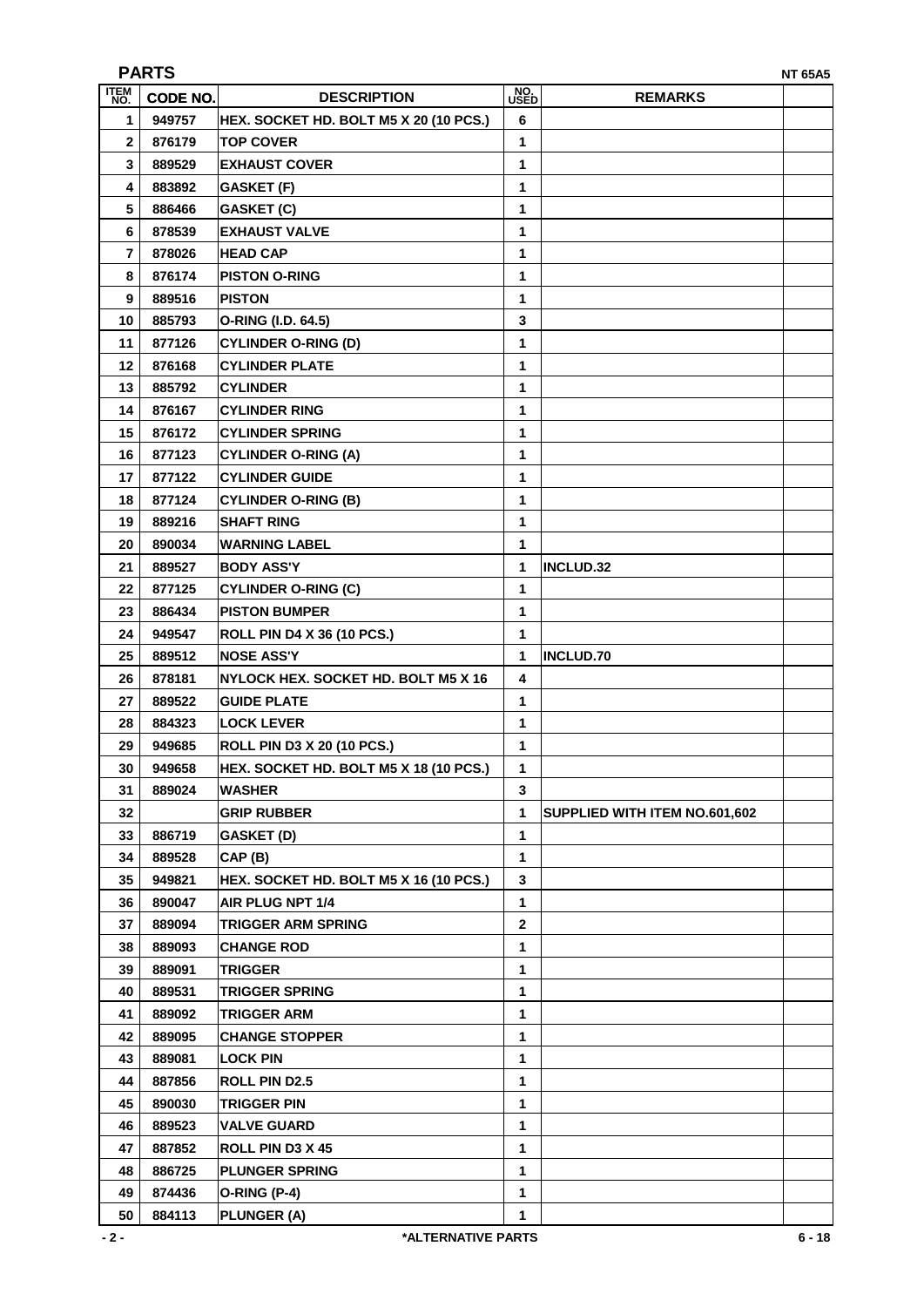| <b>PARTS</b><br><b>NT 65A5</b> |          |                                        |              |                               |  |  |  |
|--------------------------------|----------|----------------------------------------|--------------|-------------------------------|--|--|--|
| <b>ITEM</b><br>NO.             | CODE NO. | <b>DESCRIPTION</b>                     | NO.<br>USED  | <b>REMARKS</b>                |  |  |  |
| 1                              | 949757   | HEX. SOCKET HD. BOLT M5 X 20 (10 PCS.) | 6            |                               |  |  |  |
| 2                              | 876179   | <b>TOP COVER</b>                       | 1            |                               |  |  |  |
| 3                              | 889529   | <b>EXHAUST COVER</b>                   | 1            |                               |  |  |  |
| 4                              | 883892   | GASKET (F)                             | 1            |                               |  |  |  |
| 5                              | 886466   | <b>GASKET (C)</b>                      | 1            |                               |  |  |  |
| 6                              | 878539   | <b>EXHAUST VALVE</b>                   | 1            |                               |  |  |  |
| 7                              | 878026   | <b>HEAD CAP</b>                        | 1            |                               |  |  |  |
| 8                              | 876174   | <b>PISTON O-RING</b>                   | 1            |                               |  |  |  |
| 9                              | 889516   | <b>PISTON</b>                          | 1            |                               |  |  |  |
| 10                             | 885793   | O-RING (I.D. 64.5)                     | 3            |                               |  |  |  |
| 11                             | 877126   | <b>CYLINDER O-RING (D)</b>             | 1            |                               |  |  |  |
| 12                             | 876168   | <b>CYLINDER PLATE</b>                  | 1            |                               |  |  |  |
| 13                             | 885792   | <b>CYLINDER</b>                        | 1            |                               |  |  |  |
| 14                             | 876167   | <b>CYLINDER RING</b>                   | 1            |                               |  |  |  |
|                                | 876172   |                                        | 1            |                               |  |  |  |
| 15                             |          | <b>CYLINDER SPRING</b>                 |              |                               |  |  |  |
| 16                             | 877123   | <b>CYLINDER O-RING (A)</b>             | 1            |                               |  |  |  |
| 17                             | 877122   | <b>CYLINDER GUIDE</b>                  | 1            |                               |  |  |  |
| 18                             | 877124   | <b>CYLINDER O-RING (B)</b>             | 1            |                               |  |  |  |
| 19                             | 889216   | <b>SHAFT RING</b>                      | 1            |                               |  |  |  |
| 20                             | 890034   | <b>WARNING LABEL</b>                   | 1            |                               |  |  |  |
| 21                             | 889527   | <b>BODY ASS'Y</b>                      | 1            | <b>INCLUD.32</b>              |  |  |  |
| 22                             | 877125   | <b>CYLINDER O-RING (C)</b>             | 1            |                               |  |  |  |
| 23                             | 886434   | <b>PISTON BUMPER</b>                   | 1            |                               |  |  |  |
| 24                             | 949547   | <b>ROLL PIN D4 X 36 (10 PCS.)</b>      | 1            |                               |  |  |  |
| 25                             | 889512   | <b>NOSE ASS'Y</b>                      | 1            | <b>INCLUD.70</b>              |  |  |  |
| 26                             | 878181   | NYLOCK HEX. SOCKET HD. BOLT M5 X 16    | 4            |                               |  |  |  |
| 27                             | 889522   | <b>GUIDE PLATE</b>                     | 1            |                               |  |  |  |
| 28                             | 884323   | <b>LOCK LEVER</b>                      | 1            |                               |  |  |  |
| 29                             | 949685   | <b>ROLL PIN D3 X 20 (10 PCS.)</b>      | 1            |                               |  |  |  |
| 30                             | 949658   | HEX. SOCKET HD. BOLT M5 X 18 (10 PCS.) | 1            |                               |  |  |  |
| 31                             | 889024   | <b>WASHER</b>                          | 3            |                               |  |  |  |
| 32                             |          | <b>GRIP RUBBER</b>                     | 1            | SUPPLIED WITH ITEM NO.601,602 |  |  |  |
| 33                             | 886719   | <b>GASKET (D)</b>                      | 1            |                               |  |  |  |
| 34                             | 889528   | CAP (B)                                | 1            |                               |  |  |  |
| 35                             | 949821   | HEX. SOCKET HD. BOLT M5 X 16 (10 PCS.) | 3            |                               |  |  |  |
| 36                             | 890047   | AIR PLUG NPT 1/4                       | $\mathbf{1}$ |                               |  |  |  |
| 37                             | 889094   | <b>TRIGGER ARM SPRING</b>              | 2            |                               |  |  |  |
| 38                             | 889093   | <b>CHANGE ROD</b>                      | 1            |                               |  |  |  |
| 39                             | 889091   | <b>TRIGGER</b>                         | 1            |                               |  |  |  |
| 40                             | 889531   | <b>TRIGGER SPRING</b>                  | 1            |                               |  |  |  |
| 41                             | 889092   | <b>TRIGGER ARM</b>                     | 1            |                               |  |  |  |
| 42                             | 889095   | <b>CHANGE STOPPER</b>                  | 1            |                               |  |  |  |
| 43                             | 889081   | <b>LOCK PIN</b>                        | 1            |                               |  |  |  |
| 44                             | 887856   | <b>ROLL PIN D2.5</b>                   | 1            |                               |  |  |  |
| 45                             | 890030   | <b>TRIGGER PIN</b>                     | 1            |                               |  |  |  |
| 46                             | 889523   | <b>VALVE GUARD</b>                     | 1            |                               |  |  |  |
| 47                             | 887852   | ROLL PIN D3 X 45                       | 1            |                               |  |  |  |
| 48                             | 886725   | <b>PLUNGER SPRING</b>                  | 1            |                               |  |  |  |
| 49                             | 874436   | O-RING (P-4)                           | 1            |                               |  |  |  |
| 50                             | 884113   | PLUNGER (A)                            | 1            |                               |  |  |  |
|                                |          |                                        |              |                               |  |  |  |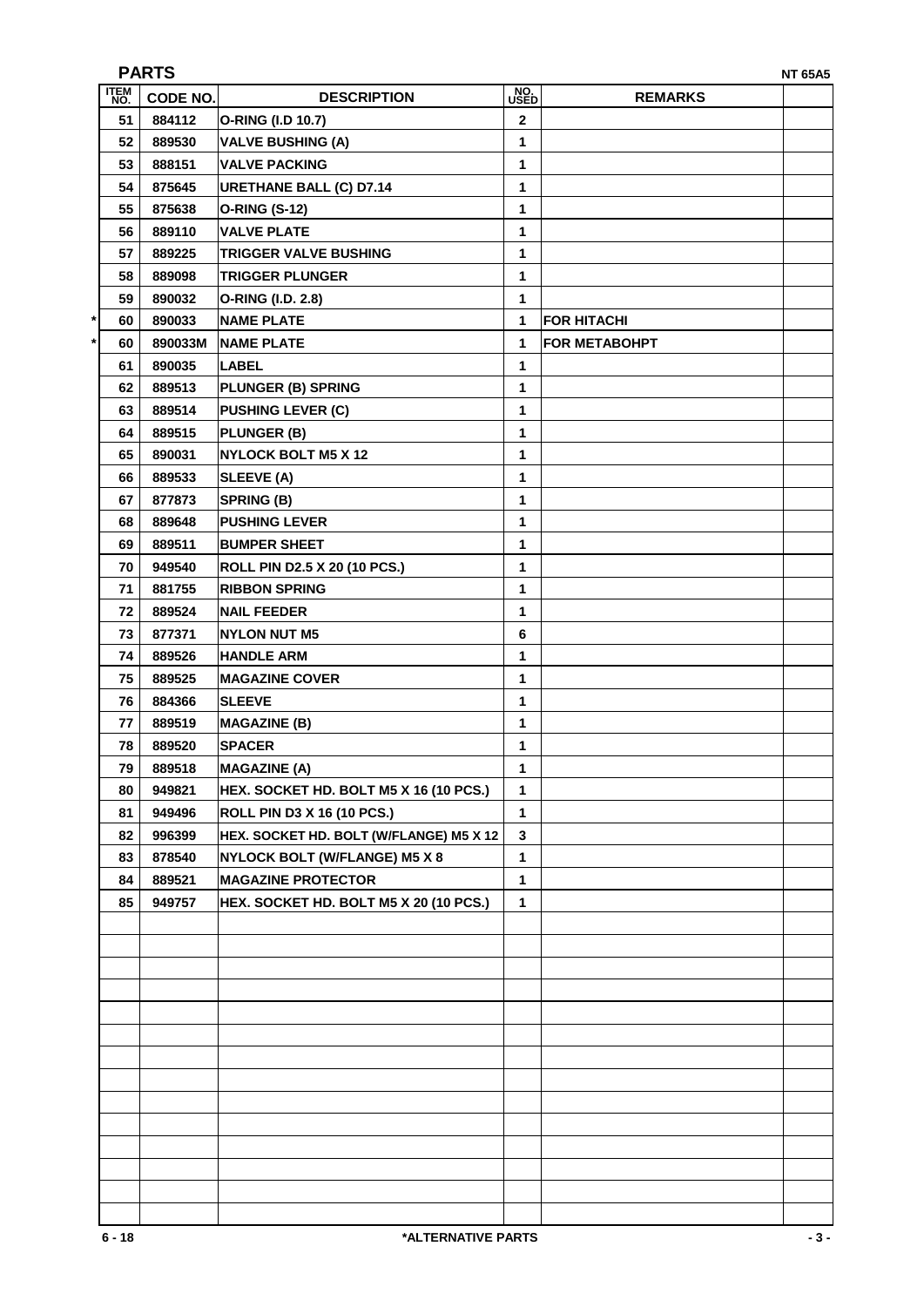| <b>PARTS</b><br><b>NT 65A5</b> |                 |                                         |              |                      |  |  |
|--------------------------------|-----------------|-----------------------------------------|--------------|----------------------|--|--|
| ITEM<br>NO.                    | <b>CODE NO.</b> | <b>DESCRIPTION</b>                      | NO.<br>USED  | <b>REMARKS</b>       |  |  |
| 51                             | 884112          | O-RING (I.D 10.7)                       | $\mathbf 2$  |                      |  |  |
| 52                             | 889530          | <b>VALVE BUSHING (A)</b>                | 1            |                      |  |  |
| 53                             | 888151          | <b>VALVE PACKING</b>                    | 1            |                      |  |  |
| 54                             | 875645          | <b>URETHANE BALL (C) D7.14</b>          | 1            |                      |  |  |
| 55                             | 875638          | <b>O-RING (S-12)</b>                    | 1            |                      |  |  |
| 56                             | 889110          | <b>VALVE PLATE</b>                      | 1            |                      |  |  |
| 57                             | 889225          | <b>TRIGGER VALVE BUSHING</b>            | 1            |                      |  |  |
| 58                             | 889098          | <b>TRIGGER PLUNGER</b>                  | 1            |                      |  |  |
| 59                             | 890032          | O-RING (I.D. 2.8)                       | 1            |                      |  |  |
| *<br>60                        | 890033          | <b>NAME PLATE</b>                       | 1            | <b>FOR HITACHI</b>   |  |  |
| 60                             | 890033M         | <b>NAME PLATE</b>                       | 1            | <b>FOR METABOHPT</b> |  |  |
| 61                             | 890035          | <b>LABEL</b>                            | 1            |                      |  |  |
| 62                             | 889513          | <b>PLUNGER (B) SPRING</b>               | 1            |                      |  |  |
| 63                             | 889514          | <b>PUSHING LEVER (C)</b>                | 1            |                      |  |  |
| 64                             | 889515          | PLUNGER (B)                             | 1            |                      |  |  |
| 65                             | 890031          | <b>NYLOCK BOLT M5 X 12</b>              | 1            |                      |  |  |
| 66                             | 889533          | SLEEVE (A)                              | 1            |                      |  |  |
| 67                             | 877873          | SPRING (B)                              | 1            |                      |  |  |
| 68                             | 889648          | <b>PUSHING LEVER</b>                    | 1            |                      |  |  |
| 69                             | 889511          | <b>BUMPER SHEET</b>                     | 1            |                      |  |  |
| 70                             | 949540          | ROLL PIN D2.5 X 20 (10 PCS.)            | 1            |                      |  |  |
| 71                             | 881755          | <b>RIBBON SPRING</b>                    | 1            |                      |  |  |
| 72                             | 889524          | <b>NAIL FEEDER</b>                      | 1            |                      |  |  |
| 73                             | 877371          | <b>NYLON NUT M5</b>                     | 6            |                      |  |  |
| 74                             | 889526          | <b>HANDLE ARM</b>                       | 1            |                      |  |  |
| 75                             | 889525          | <b>MAGAZINE COVER</b>                   | 1            |                      |  |  |
| 76                             | 884366          | <b>SLEEVE</b>                           | 1            |                      |  |  |
| 77                             | 889519          | <b>MAGAZINE (B)</b>                     | 1            |                      |  |  |
| 78                             | 889520          | <b>SPACER</b>                           | 1            |                      |  |  |
| 79                             | 889518          | <b>MAGAZINE (A)</b>                     | 1            |                      |  |  |
| 80                             | 949821          | HEX. SOCKET HD. BOLT M5 X 16 (10 PCS.)  | 1            |                      |  |  |
| 81                             | 949496          | <b>ROLL PIN D3 X 16 (10 PCS.)</b>       | $\mathbf{1}$ |                      |  |  |
| 82                             | 996399          | HEX. SOCKET HD. BOLT (W/FLANGE) M5 X 12 | 3            |                      |  |  |
| 83                             | 878540          | NYLOCK BOLT (W/FLANGE) M5 X 8           | $\mathbf{1}$ |                      |  |  |
| 84                             | 889521          | <b>MAGAZINE PROTECTOR</b>               | $\mathbf{1}$ |                      |  |  |
| 85                             | 949757          | HEX. SOCKET HD. BOLT M5 X 20 (10 PCS.)  | $\mathbf{1}$ |                      |  |  |
|                                |                 |                                         |              |                      |  |  |
|                                |                 |                                         |              |                      |  |  |
|                                |                 |                                         |              |                      |  |  |
|                                |                 |                                         |              |                      |  |  |
|                                |                 |                                         |              |                      |  |  |
|                                |                 |                                         |              |                      |  |  |
|                                |                 |                                         |              |                      |  |  |
|                                |                 |                                         |              |                      |  |  |
|                                |                 |                                         |              |                      |  |  |
|                                |                 |                                         |              |                      |  |  |
|                                |                 |                                         |              |                      |  |  |
|                                |                 |                                         |              |                      |  |  |
|                                |                 |                                         |              |                      |  |  |
|                                |                 |                                         |              |                      |  |  |
| $6 - 18$<br>*ALTERNATIVE PARTS |                 |                                         |              |                      |  |  |